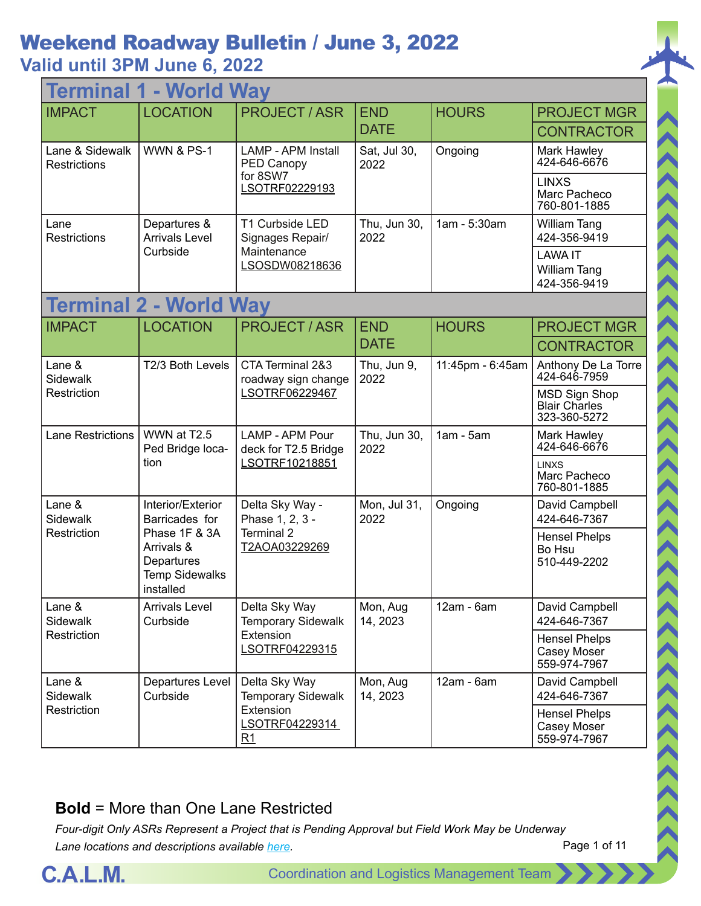### **Valid until 3PM June 6, 2022**

| <b>World Way</b><br><b>Termina</b> |                                                                                 |                                                           |                      |                  |                                                              |  |
|------------------------------------|---------------------------------------------------------------------------------|-----------------------------------------------------------|----------------------|------------------|--------------------------------------------------------------|--|
| <b>IMPACT</b>                      | <b>LOCATION</b>                                                                 | <b>PROJECT / ASR</b>                                      | <b>END</b>           | <b>HOURS</b>     | <b>PROJECT MGR</b>                                           |  |
|                                    |                                                                                 |                                                           | <b>DATE</b>          |                  | <b>CONTRACTOR</b>                                            |  |
| Lane & Sidewalk<br>Restrictions    | <b>WWN &amp; PS-1</b>                                                           | <b>LAMP - APM Install</b><br>PED Canopy                   | Sat, Jul 30,<br>2022 | Ongoing          | Mark Hawley<br>424-646-6676                                  |  |
|                                    |                                                                                 | for 8SW7<br>LSOTRF02229193                                |                      |                  | <b>LINXS</b><br>Marc Pacheco<br>760-801-1885                 |  |
| Lane<br>Restrictions               | Departures &<br><b>Arrivals Level</b>                                           | T1 Curbside LED<br>Signages Repair/                       | Thu, Jun 30,<br>2022 | 1am - 5:30am     | William Tang<br>424-356-9419                                 |  |
|                                    | Curbside                                                                        | Maintenance<br>LSOSDW08218636                             |                      |                  | <b>LAWA IT</b><br>William Tang<br>424-356-9419               |  |
|                                    | <b>Terminal 2 - World Way</b>                                                   |                                                           |                      |                  |                                                              |  |
| <b>IMPACT</b>                      | <b>LOCATION</b>                                                                 | <b>PROJECT / ASR</b>                                      | <b>END</b>           | <b>HOURS</b>     | <b>PROJECT MGR</b>                                           |  |
|                                    |                                                                                 |                                                           | <b>DATE</b>          |                  | <b>CONTRACTOR</b>                                            |  |
| Lane &<br><b>Sidewalk</b>          | T2/3 Both Levels                                                                | CTA Terminal 2&3<br>roadway sign change                   | Thu, Jun 9,<br>2022  | 11:45pm - 6:45am | Anthony De La Torre<br>424-646-7959                          |  |
| Restriction                        |                                                                                 | LSOTRF06229467                                            |                      |                  | <b>MSD Sign Shop</b><br><b>Blair Charles</b><br>323-360-5272 |  |
| <b>Lane Restrictions</b>           | WWN at T2.5<br>Ped Bridge loca-<br>tion                                         | LAMP - APM Pour<br>deck for T2.5 Bridge<br>LSOTRF10218851 | Thu, Jun 30,<br>2022 | $1am - 5am$      | Mark Hawley<br>424-646-6676                                  |  |
|                                    |                                                                                 |                                                           |                      |                  | <b>LINXS</b><br>Marc Pacheco<br>760-801-1885                 |  |
| Lane &<br><b>Sidewalk</b>          | Interior/Exterior<br>Barricades for                                             | Delta Sky Way -<br>Phase 1, 2, 3 -                        | Mon, Jul 31,<br>2022 | Ongoing          | David Campbell<br>424-646-7367                               |  |
| Restriction                        | Phase 1F & 3A<br>Arrivals &<br>Departures<br><b>Temp Sidewalks</b><br>installed | Terminal 2<br>T2AOA03229269                               |                      |                  | <b>Hensel Phelps</b><br>Bo Hsu<br>510-449-2202               |  |
| Lane &<br><b>Sidewalk</b>          | <b>Arrivals Level</b><br>Curbside                                               | Delta Sky Way<br><b>Temporary Sidewalk</b>                | Mon, Aug<br>14, 2023 | 12am - 6am       | David Campbell<br>424-646-7367                               |  |
| Restriction                        |                                                                                 | Extension<br>LSOTRF04229315                               |                      |                  | <b>Hensel Phelps</b><br>Casey Moser<br>559-974-7967          |  |
| Lane &<br><b>Sidewalk</b>          | Departures Level<br>Curbside                                                    | Delta Sky Way<br><b>Temporary Sidewalk</b>                | Mon, Aug<br>14, 2023 | $12am - 6am$     | David Campbell<br>424-646-7367                               |  |
| Restriction                        |                                                                                 | Extension<br>LSOTRF04229314<br>R1                         |                      |                  | <b>Hensel Phelps</b><br>Casey Moser<br>559-974-7967          |  |

#### **Bold** = More than One Lane Restricted

*Four-digit Only ASRs Represent a Project that is Pending Approval but Field Work May be Underway Lane locations and descriptions available [here](http://slaxadgmss001/sites/CALMSHARE/Shared%20Documents/CTA_Lane_Descriptions.pdf).*



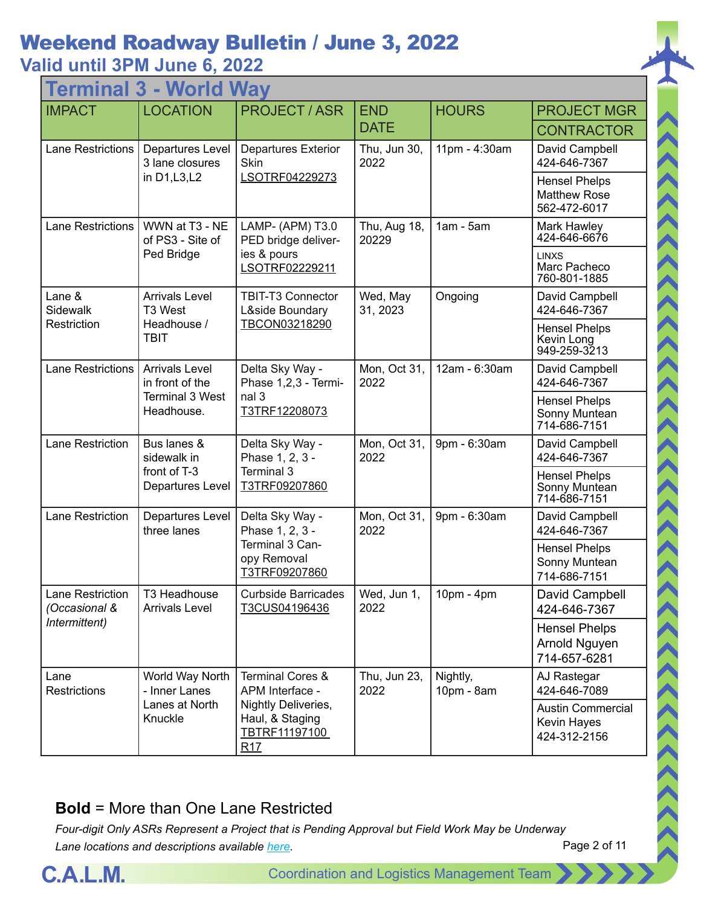### **Valid until 3PM June 6, 2022**

| - World Way<br>Termina                                 |                                                                                  |                                                                                       |                       |                        |                                                             |  |
|--------------------------------------------------------|----------------------------------------------------------------------------------|---------------------------------------------------------------------------------------|-----------------------|------------------------|-------------------------------------------------------------|--|
| <b>IMPACT</b>                                          | <b>LOCATION</b>                                                                  | <b>PROJECT / ASR</b>                                                                  | <b>END</b>            | <b>HOURS</b>           | <b>PROJECT MGR</b>                                          |  |
|                                                        |                                                                                  |                                                                                       | <b>DATE</b>           |                        | <b>CONTRACTOR</b>                                           |  |
| Lane Restrictions                                      | <b>Departures Level</b><br>3 lane closures                                       | <b>Departures Exterior</b><br>Skin                                                    | Thu, Jun 30,<br>2022  | 11pm - 4:30am          | David Campbell<br>424-646-7367                              |  |
|                                                        | in D1, L3, L2                                                                    | LSOTRF04229273                                                                        |                       |                        | <b>Hensel Phelps</b><br><b>Matthew Rose</b><br>562-472-6017 |  |
| <b>Lane Restrictions</b>                               | WWN at T3 - NE<br>of PS3 - Site of                                               | LAMP- (APM) T3.0<br>PED bridge deliver-                                               | Thu, Aug 18,<br>20229 | $1am - 5am$            | Mark Hawley<br>424-646-6676                                 |  |
|                                                        | Ped Bridge                                                                       | ies & pours<br>LSOTRF02229211                                                         |                       |                        | <b>LINXS</b><br>Marc Pacheco<br>760-801-1885                |  |
| Lane &<br>Sidewalk                                     | <b>Arrivals Level</b><br>T3 West                                                 | <b>TBIT-T3 Connector</b><br>L&side Boundary                                           | Wed, May<br>31, 2023  | Ongoing                | David Campbell<br>424-646-7367                              |  |
| Restriction                                            | Headhouse /<br><b>TBIT</b>                                                       | TBCON03218290                                                                         |                       |                        | <b>Hensel Phelps</b><br>Kevin Long<br>949-259-3213          |  |
| <b>Lane Restrictions</b>                               | <b>Arrivals Level</b><br>in front of the<br><b>Terminal 3 West</b><br>Headhouse. | Delta Sky Way -<br>Phase 1,2,3 - Termi-<br>nal 3<br>T3TRF12208073                     | Mon, Oct 31,<br>2022  | 12am - 6:30am          | David Campbell<br>424-646-7367                              |  |
|                                                        |                                                                                  |                                                                                       |                       |                        | <b>Hensel Phelps</b><br>Sonny Muntean<br>714-686-7151       |  |
| <b>Lane Restriction</b><br>sidewalk in<br>front of T-3 | Bus lanes &                                                                      | Delta Sky Way -<br>Phase 1, 2, 3 -<br>Terminal 3<br>T3TRF09207860                     | Mon, Oct 31,<br>2022  | 9pm - 6:30am           | David Campbell<br>424-646-7367                              |  |
|                                                        | Departures Level                                                                 |                                                                                       |                       |                        | <b>Hensel Phelps</b><br>Sonny Muntean<br>714-686-7151       |  |
| Lane Restriction                                       | <b>Departures Level</b><br>three lanes                                           | Delta Sky Way -<br>Phase 1, 2, 3 -<br>Terminal 3 Can-<br>opy Removal<br>T3TRF09207860 | Mon, Oct 31,<br>2022  | 9pm - 6:30am           | David Campbell<br>424-646-7367                              |  |
|                                                        |                                                                                  |                                                                                       |                       |                        | <b>Hensel Phelps</b><br>Sonny Muntean<br>714-686-7151       |  |
| Lane Restriction<br>(Occasional &                      | T3 Headhouse<br><b>Arrivals Level</b>                                            | <b>Curbside Barricades</b><br>T3CUS04196436                                           | Wed, Jun 1,<br>2022   | 10pm - 4pm             | David Campbell<br>424-646-7367                              |  |
| Intermittent)                                          |                                                                                  |                                                                                       |                       |                        | <b>Hensel Phelps</b><br>Arnold Nguyen<br>714-657-6281       |  |
| Lane<br><b>Restrictions</b>                            | World Way North<br>- Inner Lanes                                                 | <b>Terminal Cores &amp;</b><br>APM Interface -                                        | Thu, Jun 23,<br>2022  | Nightly,<br>10pm - 8am | AJ Rastegar<br>424-646-7089                                 |  |
|                                                        | Lanes at North<br>Knuckle                                                        | Nightly Deliveries,<br>Haul, & Staging<br>TBTRF11197100<br>R17                        |                       |                        | <b>Austin Commercial</b><br>Kevin Hayes<br>424-312-2156     |  |

#### **Bold** = More than One Lane Restricted

*Four-digit Only ASRs Represent a Project that is Pending Approval but Field Work May be Underway Lane locations and descriptions available [here](http://slaxadgmss001/sites/CALMSHARE/Shared%20Documents/CTA_Lane_Descriptions.pdf).*



 $\langle\langle\langle\langle\langle\langle\rangle\rangle\rangle\rangle\rangle\rangle\rangle$ 

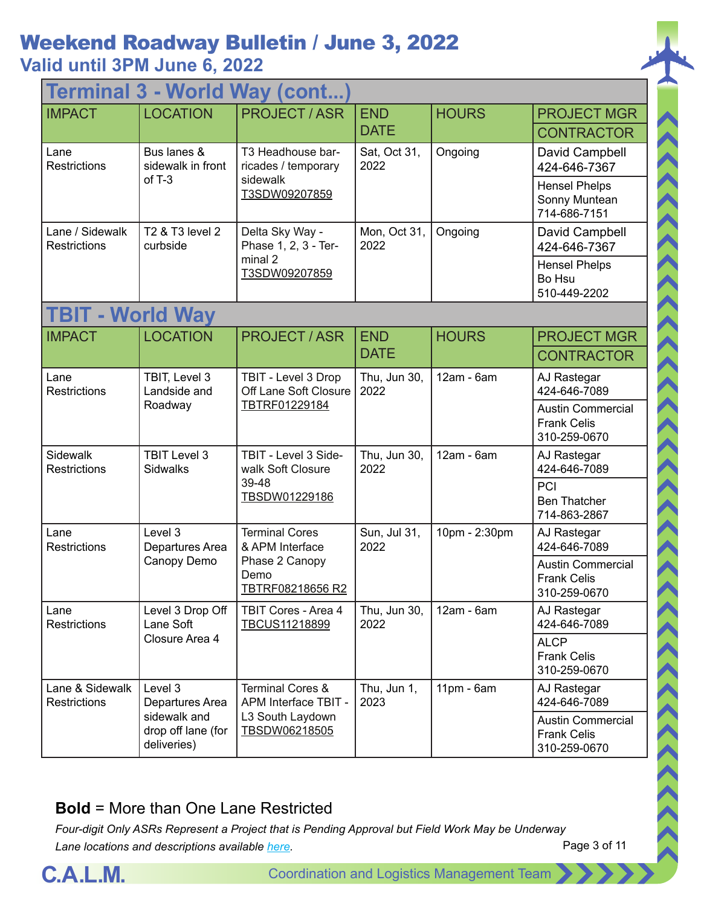## **Valid until 3PM June 6, 2022**

| <b>Terminal 3 - World Way (cont</b>    |                                                   |                                                                                        |                           |               |                                                                |  |
|----------------------------------------|---------------------------------------------------|----------------------------------------------------------------------------------------|---------------------------|---------------|----------------------------------------------------------------|--|
| <b>IMPACT</b>                          | <b>LOCATION</b>                                   | <b>PROJECT/ASR</b>                                                                     | <b>END</b><br><b>DATE</b> | <b>HOURS</b>  | <b>PROJECT MGR</b><br><b>CONTRACTOR</b>                        |  |
| Lane<br><b>Restrictions</b>            | Bus lanes &<br>sidewalk in front                  | T3 Headhouse bar-<br>ricades / temporary                                               | Sat, Oct 31,<br>2022      | Ongoing       | David Campbell<br>424-646-7367                                 |  |
|                                        | of $T-3$                                          | sidewalk<br>T3SDW09207859                                                              |                           |               | <b>Hensel Phelps</b><br>Sonny Muntean<br>714-686-7151          |  |
| Lane / Sidewalk<br><b>Restrictions</b> | T2 & T3 level 2<br>curbside                       | Delta Sky Way -<br>Phase 1, 2, 3 - Ter-                                                | Mon, Oct 31,<br>2022      | Ongoing       | David Campbell<br>424-646-7367                                 |  |
|                                        |                                                   | minal 2<br>T3SDW09207859                                                               |                           |               | <b>Hensel Phelps</b><br>Bo Hsu<br>510-449-2202                 |  |
| <b>TBIT - World Way</b>                |                                                   |                                                                                        |                           |               |                                                                |  |
| <b>IMPACT</b>                          | <b>LOCATION</b>                                   | <b>PROJECT / ASR</b>                                                                   | <b>END</b>                | <b>HOURS</b>  | <b>PROJECT MGR</b>                                             |  |
|                                        |                                                   |                                                                                        | <b>DATE</b>               |               | <b>CONTRACTOR</b>                                              |  |
| Lane<br><b>Restrictions</b>            | TBIT, Level 3<br>Landside and                     | TBIT - Level 3 Drop<br>Off Lane Soft Closure<br>Roadway<br>TBTRF01229184               | Thu, Jun 30,<br>2022      | 12am - 6am    | AJ Rastegar<br>424-646-7089                                    |  |
|                                        |                                                   |                                                                                        |                           |               | <b>Austin Commercial</b><br><b>Frank Celis</b><br>310-259-0670 |  |
| Sidewalk<br><b>Restrictions</b>        | <b>TBIT Level 3</b><br><b>Sidwalks</b>            | TBIT - Level 3 Side-<br>walk Soft Closure<br>39-48<br>TBSDW01229186                    | Thu, Jun 30,<br>2022      | 12am - 6am    | AJ Rastegar<br>424-646-7089                                    |  |
|                                        |                                                   |                                                                                        |                           |               | PCI<br><b>Ben Thatcher</b><br>714-863-2867                     |  |
| Lane<br>Restrictions                   | Level 3<br>Departures Area<br>Canopy Demo         | <b>Terminal Cores</b><br>& APM Interface<br>Phase 2 Canopy<br>Demo<br>TBTRF08218656 R2 | Sun, Jul 31,<br>2022      | 10pm - 2:30pm | AJ Rastegar<br>424-646-7089                                    |  |
|                                        |                                                   |                                                                                        |                           |               | <b>Austin Commercial</b><br><b>Frank Celis</b><br>310-259-0670 |  |
| Lane<br><b>Restrictions</b>            | Level 3 Drop Off<br>Lane Soft                     | <b>TBIT Cores - Area 4</b><br>TBCUS11218899                                            | Thu, Jun 30,<br>2022      | 12am - 6am    | AJ Rastegar<br>424-646-7089                                    |  |
|                                        | Closure Area 4                                    |                                                                                        |                           |               | <b>ALCP</b><br><b>Frank Celis</b><br>310-259-0670              |  |
| Lane & Sidewalk<br><b>Restrictions</b> | Level 3<br>Departures Area                        | <b>Terminal Cores &amp;</b><br>APM Interface TBIT -                                    | Thu, Jun 1,<br>2023       | $11pm - 6am$  | AJ Rastegar<br>424-646-7089                                    |  |
|                                        | sidewalk and<br>drop off lane (for<br>deliveries) | L3 South Laydown<br>TBSDW06218505                                                      |                           |               | <b>Austin Commercial</b><br><b>Frank Celis</b><br>310-259-0670 |  |

#### **Bold** = More than One Lane Restricted

*Four-digit Only ASRs Represent a Project that is Pending Approval but Field Work May be Underway Lane locations and descriptions available [here](http://slaxadgmss001/sites/CALMSHARE/Shared%20Documents/CTA_Lane_Descriptions.pdf).*



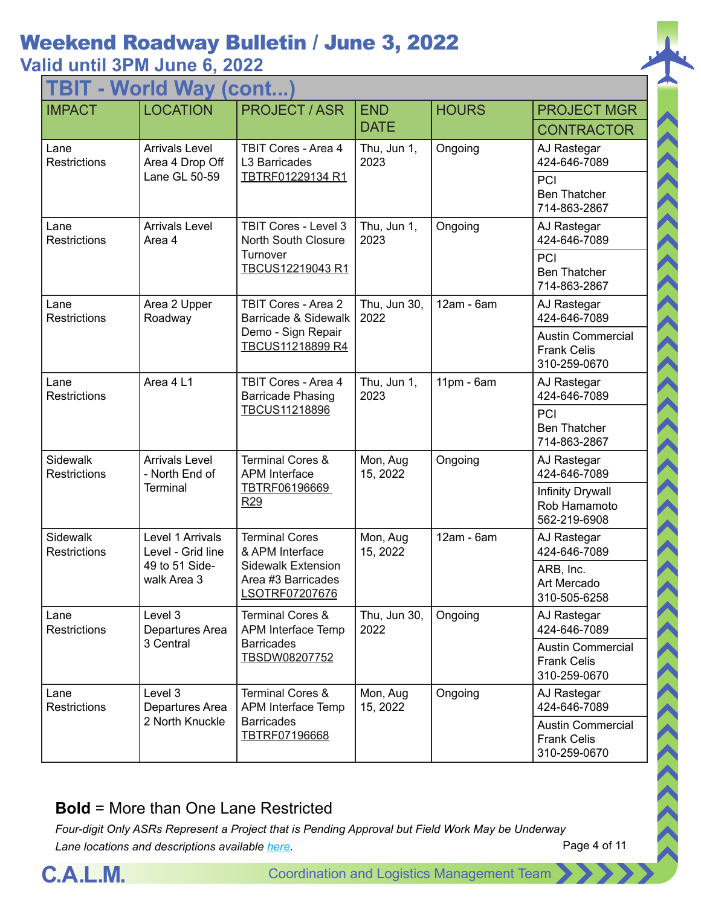#### **Valid until 3PM June 6, 2022**

| TBIT - World Way (cont.         |                                                                        |                                                                                                               |                      |              |                                                                |  |
|---------------------------------|------------------------------------------------------------------------|---------------------------------------------------------------------------------------------------------------|----------------------|--------------|----------------------------------------------------------------|--|
| <b>IMPACT</b>                   | <b>LOCATION</b>                                                        | <b>PROJECT/ASR</b>                                                                                            | <b>END</b>           | <b>HOURS</b> | <b>PROJECT MGR</b>                                             |  |
|                                 |                                                                        |                                                                                                               | <b>DATE</b>          |              | <b>CONTRACTOR</b>                                              |  |
| Lane<br><b>Restrictions</b>     | <b>Arrivals Level</b><br>Area 4 Drop Off                               | <b>TBIT Cores - Area 4</b><br>L3 Barricades                                                                   | Thu, Jun 1,<br>2023  | Ongoing      | AJ Rastegar<br>424-646-7089                                    |  |
|                                 | Lane GL 50-59                                                          | TBTRF01229134 R1                                                                                              |                      |              | PCI<br><b>Ben Thatcher</b><br>714-863-2867                     |  |
| Lane<br><b>Restrictions</b>     | <b>Arrivals Level</b><br>Area 4                                        | <b>TBIT Cores - Level 3</b><br><b>North South Closure</b>                                                     | Thu, Jun 1,<br>2023  | Ongoing      | AJ Rastegar<br>424-646-7089                                    |  |
|                                 |                                                                        | Turnover<br>TBCUS12219043 R1                                                                                  |                      |              | PCI<br><b>Ben Thatcher</b><br>714-863-2867                     |  |
| Lane<br><b>Restrictions</b>     | Area 2 Upper<br>Roadway                                                | TBIT Cores - Area 2<br>Barricade & Sidewalk                                                                   | Thu, Jun 30,<br>2022 | 12am - 6am   | AJ Rastegar<br>424-646-7089                                    |  |
|                                 |                                                                        | Demo - Sign Repair<br>TBCUS11218899 R4                                                                        |                      |              | <b>Austin Commercial</b><br><b>Frank Celis</b><br>310-259-0670 |  |
| Lane<br><b>Restrictions</b>     | Area 4 L1                                                              | TBIT Cores - Area 4<br><b>Barricade Phasing</b><br>TBCUS11218896                                              | Thu, Jun 1,<br>2023  | $11pm - 6am$ | AJ Rastegar<br>424-646-7089                                    |  |
|                                 |                                                                        |                                                                                                               |                      |              | PCI<br><b>Ben Thatcher</b><br>714-863-2867                     |  |
| Sidewalk<br><b>Restrictions</b> | <b>Arrivals Level</b><br>- North End of<br>Terminal                    | <b>Terminal Cores &amp;</b><br><b>APM</b> Interface<br>TBTRF06196669<br>R <sub>29</sub>                       | Mon, Aug<br>15, 2022 | Ongoing      | AJ Rastegar<br>424-646-7089                                    |  |
|                                 |                                                                        |                                                                                                               |                      |              | <b>Infinity Drywall</b><br>Rob Hamamoto<br>562-219-6908        |  |
| Sidewalk<br><b>Restrictions</b> | Level 1 Arrivals<br>Level - Grid line<br>49 to 51 Side-<br>walk Area 3 | <b>Terminal Cores</b><br>& APM Interface<br><b>Sidewalk Extension</b><br>Area #3 Barricades<br>LSOTRF07207676 | Mon, Aug<br>15, 2022 | 12am - 6am   | AJ Rastegar<br>424-646-7089                                    |  |
|                                 |                                                                        |                                                                                                               |                      |              | ARB, Inc.<br>Art Mercado<br>310-505-6258                       |  |
| Lane<br><b>Restrictions</b>     | Level 3<br>Departures Area                                             | <b>Terminal Cores &amp;</b><br>APM Interface Temp                                                             | Thu, Jun 30,<br>2022 | Ongoing      | AJ Rastegar<br>424-646-7089                                    |  |
|                                 | 3 Central                                                              | <b>Barricades</b><br>TBSDW08207752                                                                            |                      |              | <b>Austin Commercial</b><br><b>Frank Celis</b><br>310-259-0670 |  |
| Lane<br><b>Restrictions</b>     | Level 3<br>Departures Area                                             | <b>Terminal Cores &amp;</b><br>APM Interface Temp                                                             | Mon, Aug<br>15, 2022 | Ongoing      | AJ Rastegar<br>424-646-7089                                    |  |
|                                 | 2 North Knuckle                                                        | <b>Barricades</b><br>TBTRF07196668                                                                            |                      |              | <b>Austin Commercial</b><br><b>Frank Celis</b><br>310-259-0670 |  |

#### **Bold** = More than One Lane Restricted



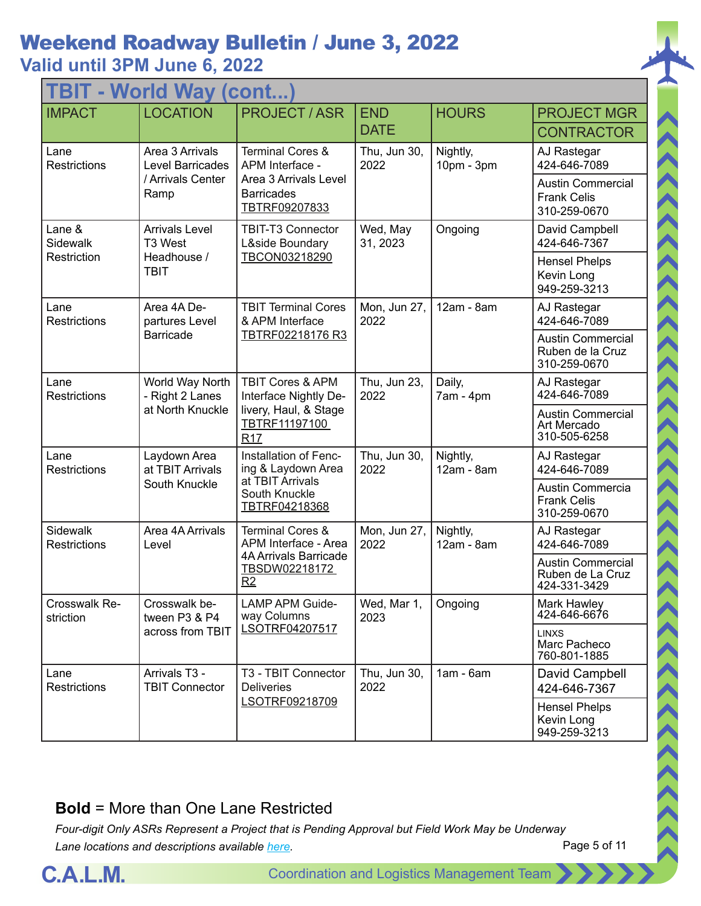| TBIT - World Way (cont          |                                            |                                                                                                                   |                      |                        |                                                                |  |
|---------------------------------|--------------------------------------------|-------------------------------------------------------------------------------------------------------------------|----------------------|------------------------|----------------------------------------------------------------|--|
| <b>IMPACT</b>                   | <b>LOCATION</b>                            | <b>PROJECT / ASR</b>                                                                                              | <b>END</b>           | <b>HOURS</b>           | <b>PROJECT MGR</b>                                             |  |
|                                 |                                            |                                                                                                                   | <b>DATE</b>          |                        | <b>CONTRACTOR</b>                                              |  |
| Lane<br><b>Restrictions</b>     | Area 3 Arrivals<br><b>Level Barricades</b> | <b>Terminal Cores &amp;</b><br>APM Interface -                                                                    | Thu, Jun 30,<br>2022 | Nightly,<br>10pm - 3pm | AJ Rastegar<br>424-646-7089                                    |  |
|                                 | / Arrivals Center<br>Ramp                  | Area 3 Arrivals Level<br><b>Barricades</b><br>TBTRF09207833                                                       |                      |                        | <b>Austin Commercial</b><br><b>Frank Celis</b><br>310-259-0670 |  |
| Lane &<br>Sidewalk              | <b>Arrivals Level</b><br>T3 West           | <b>TBIT-T3 Connector</b><br>L&side Boundary                                                                       | Wed, May<br>31, 2023 | Ongoing                | David Campbell<br>424-646-7367                                 |  |
| Restriction                     | Headhouse /<br><b>TBIT</b>                 | TBCON03218290                                                                                                     |                      |                        | <b>Hensel Phelps</b><br>Kevin Long<br>949-259-3213             |  |
| Lane<br><b>Restrictions</b>     | Area 4A De-<br>partures Level              | <b>TBIT Terminal Cores</b><br>& APM Interface                                                                     | Mon, Jun 27,<br>2022 | 12am - 8am             | AJ Rastegar<br>424-646-7089                                    |  |
|                                 | <b>Barricade</b>                           | TBTRF02218176 R3                                                                                                  |                      |                        | <b>Austin Commercial</b><br>Ruben de la Cruz<br>310-259-0670   |  |
| Lane<br><b>Restrictions</b>     | World Way North<br>- Right 2 Lanes         | <b>TBIT Cores &amp; APM</b><br>Interface Nightly De-<br>livery, Haul, & Stage<br>TBTRF11197100<br>R <sub>17</sub> | Thu, Jun 23,<br>2022 | Daily,<br>$7am - 4pm$  | AJ Rastegar<br>424-646-7089                                    |  |
|                                 | at North Knuckle                           |                                                                                                                   |                      |                        | <b>Austin Commercial</b><br>Art Mercado<br>310-505-6258        |  |
| Lane<br>Restrictions            | Laydown Area<br>at TBIT Arrivals           | Installation of Fenc-<br>ing & Laydown Area<br>at TBIT Arrivals<br>South Knuckle<br>TBTRF04218368                 | Thu, Jun 30,<br>2022 | Nightly,<br>12am - 8am | AJ Rastegar<br>424-646-7089                                    |  |
|                                 | South Knuckle                              |                                                                                                                   |                      |                        | Austin Commercia<br><b>Frank Celis</b><br>310-259-0670         |  |
| Sidewalk<br><b>Restrictions</b> | Area 4A Arrivals<br>Level                  | <b>Terminal Cores &amp;</b><br>APM Interface - Area                                                               | Mon, Jun 27,<br>2022 | Nightly,<br>12am - 8am | AJ Rastegar<br>424-646-7089                                    |  |
|                                 |                                            | <b>4A Arrivals Barricade</b><br>TBSDW02218172<br>R2                                                               |                      |                        | <b>Austin Commercial</b><br>Ruben de La Cruz<br>424-331-3429   |  |
| Crosswalk Re-<br>striction      | Crosswalk be-<br>tween P3 & P4             | <b>LAMP APM Guide-</b><br>way Columns                                                                             | Wed, Mar 1,<br>2023  | Ongoing                | Mark Hawley<br>424-646-6676                                    |  |
|                                 | across from TBIT                           | LSOTRF04207517                                                                                                    |                      |                        | <b>LINXS</b><br>Marc Pacheco<br>760-801-1885                   |  |
| Lane<br>Restrictions            | Arrivals T3 -<br><b>TBIT Connector</b>     | T3 - TBIT Connector<br><b>Deliveries</b><br>LSOTRF09218709                                                        | Thu, Jun 30,<br>2022 | $1am - 6am$            | David Campbell<br>424-646-7367                                 |  |
|                                 |                                            |                                                                                                                   |                      |                        | <b>Hensel Phelps</b><br>Kevin Long<br>949-259-3213             |  |

#### **Bold** = More than One Lane Restricted

*Four-digit Only ASRs Represent a Project that is Pending Approval but Field Work May be Underway Lane locations and descriptions available [here](http://slaxadgmss001/sites/CALMSHARE/Shared%20Documents/CTA_Lane_Descriptions.pdf).*



11111111111

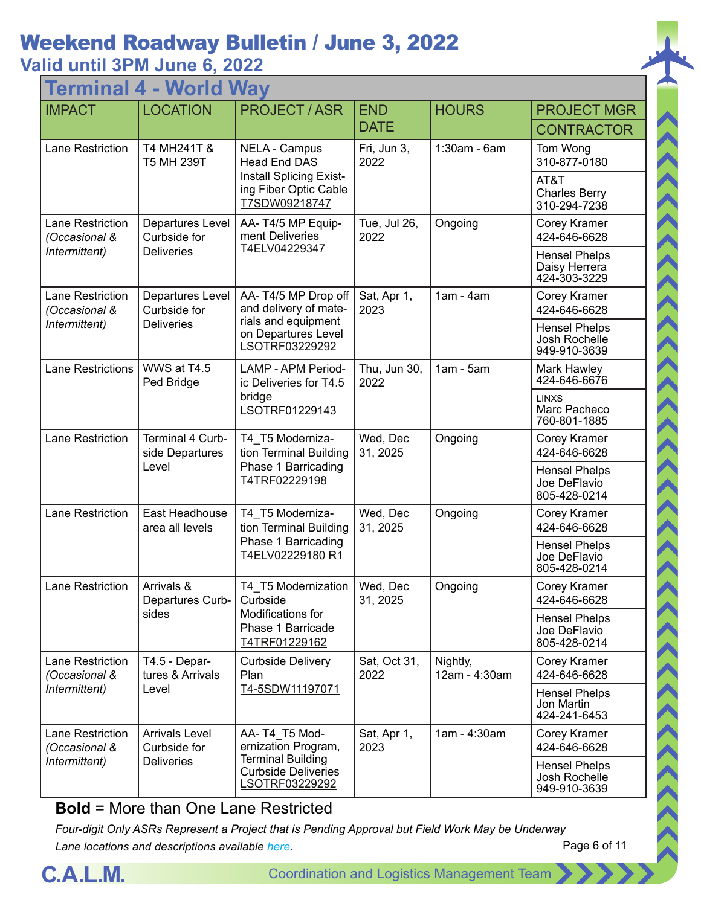## **Valid until 3PM June 6, 2022**

| <b>World Way</b><br>Termina       |                                                                                                                                   |                                                                                                                  |                      |                                                      |                                                       |  |
|-----------------------------------|-----------------------------------------------------------------------------------------------------------------------------------|------------------------------------------------------------------------------------------------------------------|----------------------|------------------------------------------------------|-------------------------------------------------------|--|
| <b>IMPACT</b>                     | <b>LOCATION</b>                                                                                                                   | <b>PROJECT / ASR</b>                                                                                             | <b>END</b>           | <b>HOURS</b>                                         | <b>PROJECT MGR</b>                                    |  |
|                                   |                                                                                                                                   |                                                                                                                  | <b>DATE</b>          |                                                      | <b>CONTRACTOR</b>                                     |  |
| <b>Lane Restriction</b>           | T4 MH241T &<br><b>T5 MH 239T</b>                                                                                                  | <b>NELA - Campus</b><br><b>Head End DAS</b>                                                                      | Fri, Jun 3,<br>2022  | $1:30am - 6am$                                       | Tom Wong<br>310-877-0180                              |  |
|                                   |                                                                                                                                   | <b>Install Splicing Exist-</b><br>ing Fiber Optic Cable<br>T7SDW09218747                                         |                      |                                                      | AT&T<br><b>Charles Berry</b><br>310-294-7238          |  |
| Lane Restriction<br>(Occasional & | Departures Level<br>Curbside for                                                                                                  | AA-T4/5 MP Equip-<br>ment Deliveries                                                                             | Tue, Jul 26,<br>2022 | Ongoing                                              | Corey Kramer<br>424-646-6628                          |  |
| Intermittent)                     | <b>Deliveries</b>                                                                                                                 | T4ELV04229347                                                                                                    |                      |                                                      | <b>Hensel Phelps</b><br>Daisy Herrera<br>424-303-3229 |  |
| Lane Restriction<br>(Occasional & | Departures Level<br>Curbside for                                                                                                  | AA-T4/5 MP Drop off<br>and delivery of mate-                                                                     | Sat, Apr 1,<br>2023  | $1am - 4am$                                          | Corey Kramer<br>424-646-6628                          |  |
| Intermittent)                     | <b>Deliveries</b>                                                                                                                 | rials and equipment<br>on Departures Level<br>LSOTRF03229292                                                     |                      |                                                      | <b>Hensel Phelps</b><br>Josh Rochelle<br>949-910-3639 |  |
| <b>Lane Restrictions</b>          | WWS at T4.5<br><b>LAMP - APM Period-</b><br>Ped Bridge<br>ic Deliveries for T4.5<br>bridge<br>LSOTRF01229143                      |                                                                                                                  | Thu, Jun 30,<br>2022 | $1am - 5am$                                          | Mark Hawley<br>424-646-6676                           |  |
|                                   |                                                                                                                                   |                                                                                                                  |                      | <b>LINXS</b><br>Marc Pacheco<br>760-801-1885         |                                                       |  |
| Lane Restriction                  | Terminal 4 Curb-<br>side Departures                                                                                               | T4_T5 Moderniza-<br>tion Terminal Building<br>Phase 1 Barricading<br>T4TRF02229198                               | Wed, Dec<br>31, 2025 | Ongoing                                              | Corey Kramer<br>424-646-6628                          |  |
|                                   | Level                                                                                                                             |                                                                                                                  |                      |                                                      | <b>Hensel Phelps</b><br>Joe DeFlavio<br>805-428-0214  |  |
| Lane Restriction                  | East Headhouse<br>T4_T5 Moderniza-<br>tion Terminal Building<br>area all levels<br>Phase 1 Barricading<br><u>T4ELV02229180 R1</u> |                                                                                                                  | Wed, Dec<br>31, 2025 | Ongoing                                              | Corey Kramer<br>424-646-6628                          |  |
|                                   |                                                                                                                                   |                                                                                                                  |                      | <b>Hensel Phelps</b><br>Joe DeFlavio<br>805-428-0214 |                                                       |  |
| <b>Lane Restriction</b>           | Arrivals &<br>Departures Curb-                                                                                                    | T4 T5 Modernization<br>Curbside                                                                                  | Wed, Dec<br>31, 2025 | Ongoing                                              | <b>Corey Kramer</b><br>424-646-6628                   |  |
|                                   | sides                                                                                                                             | Modifications for<br>Phase 1 Barricade<br>T4TRF01229162                                                          |                      |                                                      | <b>Hensel Phelps</b><br>Joe DeFlavio<br>805-428-0214  |  |
| Lane Restriction<br>(Occasional & | T4.5 - Depar-<br>tures & Arrivals                                                                                                 | Curbside Delivery<br>Plan                                                                                        | Sat, Oct 31,<br>2022 | Nightly,<br>12am - 4:30am                            | <b>Corey Kramer</b><br>424-646-6628                   |  |
| Intermittent)                     | Level                                                                                                                             | T4-5SDW11197071                                                                                                  |                      |                                                      | <b>Hensel Phelps</b><br>Jon Martin<br>424-241-6453    |  |
| Lane Restriction<br>(Occasional & | <b>Arrivals Level</b><br>Curbside for                                                                                             | AA-T4 T5 Mod-<br>ernization Program,<br><b>Terminal Building</b><br><b>Curbside Deliveries</b><br>LSOTRF03229292 | Sat, Apr 1,<br>2023  | 1am - 4:30am                                         | Corey Kramer<br>424-646-6628                          |  |
| Intermittent)                     | <b>Deliveries</b>                                                                                                                 |                                                                                                                  |                      |                                                      | <b>Hensel Phelps</b><br>Josh Rochelle<br>949-910-3639 |  |

**Bold** = More than One Lane Restricted

*Four-digit Only ASRs Represent a Project that is Pending Approval but Field Work May be Underway Lane locations and descriptions available [here](http://slaxadgmss001/sites/CALMSHARE/Shared%20Documents/CTA_Lane_Descriptions.pdf).*



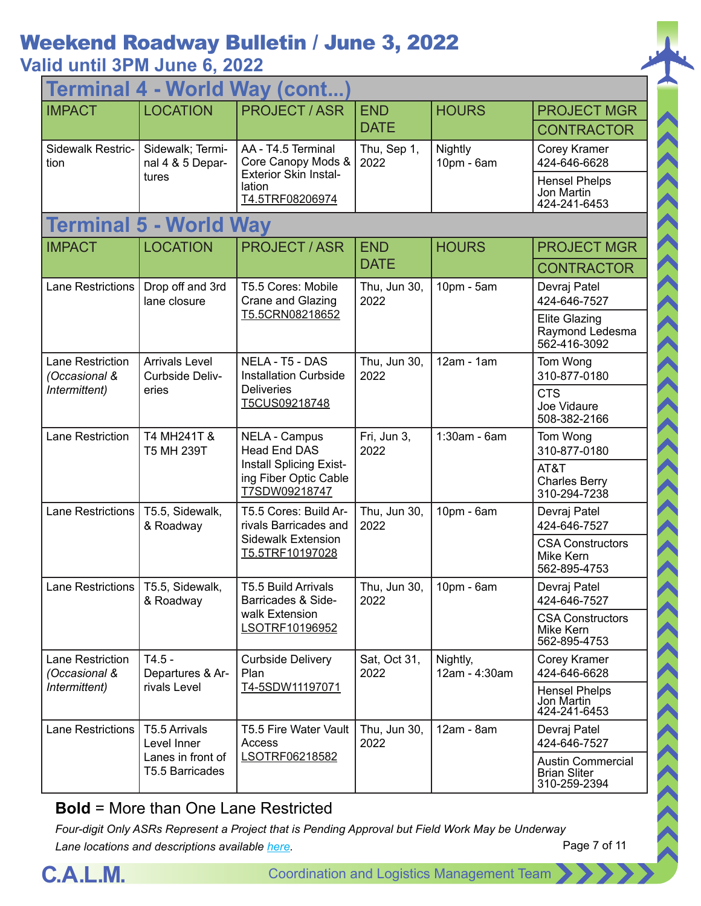| Terminal 4 - World Way (cont        |                                                                                                                                            |                                                                                                |                      |                                           |                                                                 |  |
|-------------------------------------|--------------------------------------------------------------------------------------------------------------------------------------------|------------------------------------------------------------------------------------------------|----------------------|-------------------------------------------|-----------------------------------------------------------------|--|
| <b>IMPACT</b>                       | <b>LOCATION</b>                                                                                                                            | <b>PROJECT / ASR</b>                                                                           | <b>END</b>           | <b>HOURS</b>                              | <b>PROJECT MGR</b>                                              |  |
|                                     |                                                                                                                                            |                                                                                                | <b>DATE</b>          |                                           | <b>CONTRACTOR</b>                                               |  |
| Sidewalk Restric-<br>tion           | Sidewalk; Termi-<br>nal 4 & 5 Depar-                                                                                                       | AA - T4.5 Terminal<br>Core Canopy Mods &                                                       | Thu, Sep 1,<br>2022  | Nightly<br>10pm - 6am                     | Corey Kramer<br>424-646-6628                                    |  |
|                                     | tures                                                                                                                                      | <b>Exterior Skin Instal-</b><br>lation<br>T4.5TRF08206974                                      |                      |                                           | <b>Hensel Phelps</b><br>Jon Martin<br>424-241-6453              |  |
|                                     | <b>Terminal 5 - World Way</b>                                                                                                              |                                                                                                |                      |                                           |                                                                 |  |
| <b>IMPACT</b>                       | <b>LOCATION</b>                                                                                                                            | <b>PROJECT / ASR</b>                                                                           | <b>END</b>           | <b>HOURS</b>                              | <b>PROJECT MGR</b>                                              |  |
|                                     |                                                                                                                                            |                                                                                                | <b>DATE</b>          |                                           | <b>CONTRACTOR</b>                                               |  |
| <b>Lane Restrictions</b>            | Drop off and 3rd<br>lane closure                                                                                                           | T5.5 Cores: Mobile<br>Crane and Glazing                                                        | Thu, Jun 30,<br>2022 | 10pm - 5am                                | Devraj Patel<br>424-646-7527                                    |  |
|                                     |                                                                                                                                            | T5.5CRN08218652                                                                                |                      |                                           | <b>Elite Glazing</b><br>Raymond Ledesma<br>562-416-3092         |  |
| Lane Restriction<br>(Occasional &   | <b>Arrivals Level</b><br>NELA - T5 - DAS<br><b>Installation Curbside</b><br>Curbside Deliv-<br><b>Deliveries</b><br>eries<br>T5CUS09218748 |                                                                                                | Thu, Jun 30,<br>2022 | $12am - 1am$                              | Tom Wong<br>310-877-0180                                        |  |
| Intermittent)                       |                                                                                                                                            |                                                                                                |                      | <b>CTS</b><br>Joe Vidaure<br>508-382-2166 |                                                                 |  |
| Lane Restriction                    | T4 MH241T &<br>T5 MH 239T                                                                                                                  | <b>NELA - Campus</b><br><b>Head End DAS</b>                                                    | Fri, Jun 3,<br>2022  | 1:30am - 6am                              | Tom Wong<br>310-877-0180                                        |  |
|                                     |                                                                                                                                            | Install Splicing Exist-<br>ing Fiber Optic Cable<br>T7SDW09218747                              |                      |                                           | AT&T<br><b>Charles Berry</b><br>310-294-7238                    |  |
| Lane Restrictions                   | T5.5, Sidewalk,<br>& Roadway                                                                                                               | T5.5 Cores: Build Ar-<br>rivals Barricades and<br><b>Sidewalk Extension</b><br>T5.5TRF10197028 | Thu, Jun 30,<br>2022 | 10pm - 6am                                | Devraj Patel<br>424-646-7527                                    |  |
|                                     |                                                                                                                                            |                                                                                                |                      |                                           | <b>CSA Constructors</b><br>Mike Kern<br>562-895-4753            |  |
| Lane Restrictions   T5.5, Sidewalk, | & Roadway                                                                                                                                  | T5.5 Build Arrivals<br>Barricades & Side-                                                      | Thu, Jun 30,<br>2022 | $10pm - 6am$                              | Devraj Patel<br>424-646-7527                                    |  |
|                                     |                                                                                                                                            | walk Extension<br>LSOTRF10196952                                                               |                      |                                           | <b>CSA Constructors</b><br>Mike Kern<br>562-895-4753            |  |
| Lane Restriction<br>(Occasional &   | $T4.5 -$<br>Departures & Ar-                                                                                                               | <b>Curbside Delivery</b><br>Plan                                                               | Sat, Oct 31,<br>2022 | Nightly,<br>12am - 4:30am                 | Corey Kramer<br>424-646-6628                                    |  |
| Intermittent)                       | rivals Level                                                                                                                               | T4-5SDW11197071                                                                                |                      |                                           | <b>Hensel Phelps</b><br>Jon Martin<br>424-241-6453              |  |
| <b>Lane Restrictions</b>            | T5.5 Arrivals<br>Level Inner                                                                                                               | T5.5 Fire Water Vault<br>Access                                                                | Thu, Jun 30,<br>2022 | $12am - 8am$                              | Devraj Patel<br>424-646-7527                                    |  |
|                                     | Lanes in front of<br>T5.5 Barricades                                                                                                       | LSOTRF06218582                                                                                 |                      |                                           | <b>Austin Commercial</b><br><b>Brian Sliter</b><br>310-259-2394 |  |

**Bold** = More than One Lane Restricted

*Four-digit Only ASRs Represent a Project that is Pending Approval but Field Work May be Underway Lane locations and descriptions available [here](http://slaxadgmss001/sites/CALMSHARE/Shared%20Documents/CTA_Lane_Descriptions.pdf).*



ハイハイス くくくくくくくくくくくくくくくくくくくくく

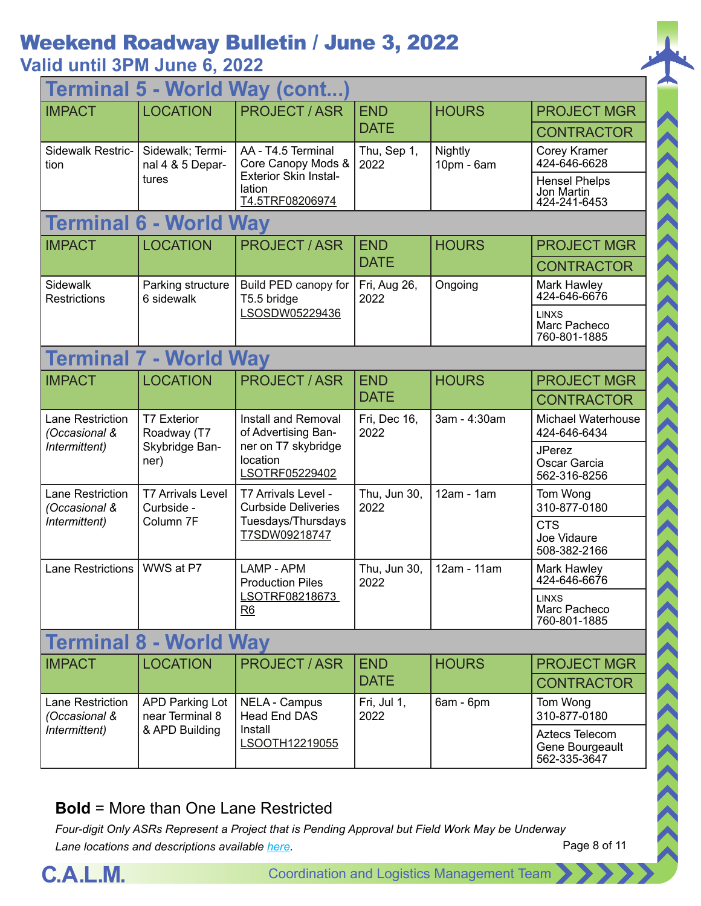|                                          | <b>Terminal 5 - World Way (cont</b>                 |                                                                                                        |                      |                       |                                                    |  |  |
|------------------------------------------|-----------------------------------------------------|--------------------------------------------------------------------------------------------------------|----------------------|-----------------------|----------------------------------------------------|--|--|
| <b>IMPACT</b>                            | <b>LOCATION</b>                                     | <b>PROJECT / ASR</b>                                                                                   | <b>END</b>           | <b>HOURS</b>          | <b>PROJECT MGR</b>                                 |  |  |
|                                          |                                                     |                                                                                                        | <b>DATE</b>          |                       | <b>CONTRACTOR</b>                                  |  |  |
| Sidewalk Restric-<br>tion                | Sidewalk; Termi-<br>nal 4 & 5 Depar-                | AA - T4.5 Terminal<br>Core Canopy Mods &                                                               | Thu, Sep 1,<br>2022  | Nightly<br>10pm - 6am | Corey Kramer<br>424-646-6628                       |  |  |
|                                          | tures                                               | <b>Exterior Skin Instal-</b><br>lation<br>T4.5TRF08206974                                              |                      |                       | <b>Hensel Phelps</b><br>Jon Martin<br>424-241-6453 |  |  |
|                                          | <b>Terminal 6 - World Way</b>                       |                                                                                                        |                      |                       |                                                    |  |  |
| <b>IMPACT</b>                            | <b>LOCATION</b>                                     | <b>PROJECT / ASR</b>                                                                                   | <b>END</b>           | <b>HOURS</b>          | <b>PROJECT MGR</b>                                 |  |  |
|                                          |                                                     |                                                                                                        | <b>DATE</b>          |                       | <b>CONTRACTOR</b>                                  |  |  |
| <b>Sidewalk</b><br>Restrictions          | Parking structure<br>6 sidewalk                     | Build PED canopy for<br>T5.5 bridge                                                                    | Fri, Aug 26,<br>2022 | Ongoing               | Mark Hawley<br>424-646-6676                        |  |  |
|                                          |                                                     | LSOSDW05229436                                                                                         |                      |                       | <b>LINXS</b><br>Marc Pacheco<br>760-801-1885       |  |  |
| <b>Terminal 7 - World Way</b>            |                                                     |                                                                                                        |                      |                       |                                                    |  |  |
| <b>IMPACT</b>                            | <b>LOCATION</b>                                     | <b>PROJECT/ASR</b>                                                                                     | <b>END</b>           | <b>HOURS</b>          | <b>PROJECT MGR</b>                                 |  |  |
|                                          |                                                     |                                                                                                        | <b>DATE</b>          |                       | <b>CONTRACTOR</b>                                  |  |  |
| <b>Lane Restriction</b><br>(Occasional & | <b>T7 Exterior</b><br>Roadway (T7                   | <b>Install and Removal</b><br>of Advertising Ban-<br>ner on T7 skybridge<br>location<br>LSOTRF05229402 | Fri, Dec 16,<br>2022 | 3am - 4:30am          | Michael Waterhouse<br>424-646-6434                 |  |  |
| Intermittent)                            | Skybridge Ban-<br>ner)                              |                                                                                                        |                      |                       | <b>JPerez</b><br>Oscar Garcia<br>562-316-8256      |  |  |
| Lane Restriction<br>(Occasional &        | <b>T7 Arrivals Level</b><br>Curbside -<br>Column 7F | T7 Arrivals Level -<br><b>Curbside Deliveries</b><br>Tuesdays/Thursdays<br>T7SDW09218747               | Thu, Jun 30,<br>2022 | $12am - 1am$          | Tom Wong<br>310-877-0180                           |  |  |
| Intermittent)                            |                                                     |                                                                                                        |                      |                       | <b>CTS</b><br>Joe Vidaure<br>508-382-2166          |  |  |
| <b>Lane Restrictions</b>                 | WWS at P7                                           | LAMP - APM<br><b>Production Piles</b>                                                                  | Thu, Jun 30,<br>2022 | 12am - 11am           | Mark Hawley<br>424-646-6676                        |  |  |
|                                          |                                                     | LSOTRF08218673<br>R6                                                                                   |                      |                       | <b>LINXS</b><br>Marc Pacheco<br>760-801-1885       |  |  |
| <b>Terminal 8 - World Way</b>            |                                                     |                                                                                                        |                      |                       |                                                    |  |  |
| <b>IMPACT</b>                            | <b>LOCATION</b>                                     | <b>PROJECT / ASR</b>                                                                                   | <b>END</b>           | <b>HOURS</b>          | <b>PROJECT MGR</b>                                 |  |  |
|                                          |                                                     |                                                                                                        | <b>DATE</b>          |                       | <b>CONTRACTOR</b>                                  |  |  |
| <b>Lane Restriction</b><br>(Occasional & | <b>APD Parking Lot</b><br>near Terminal 8           | NELA - Campus<br><b>Head End DAS</b>                                                                   | Fri, Jul 1,<br>2022  | 6am - 6pm             | Tom Wong<br>310-877-0180                           |  |  |
| Intermittent)                            | & APD Building                                      | Install<br>LSOOTH12219055                                                                              |                      |                       | Aztecs Telecom<br>Gene Bourgeault<br>562-335-3647  |  |  |

#### **Bold** = More than One Lane Restricted



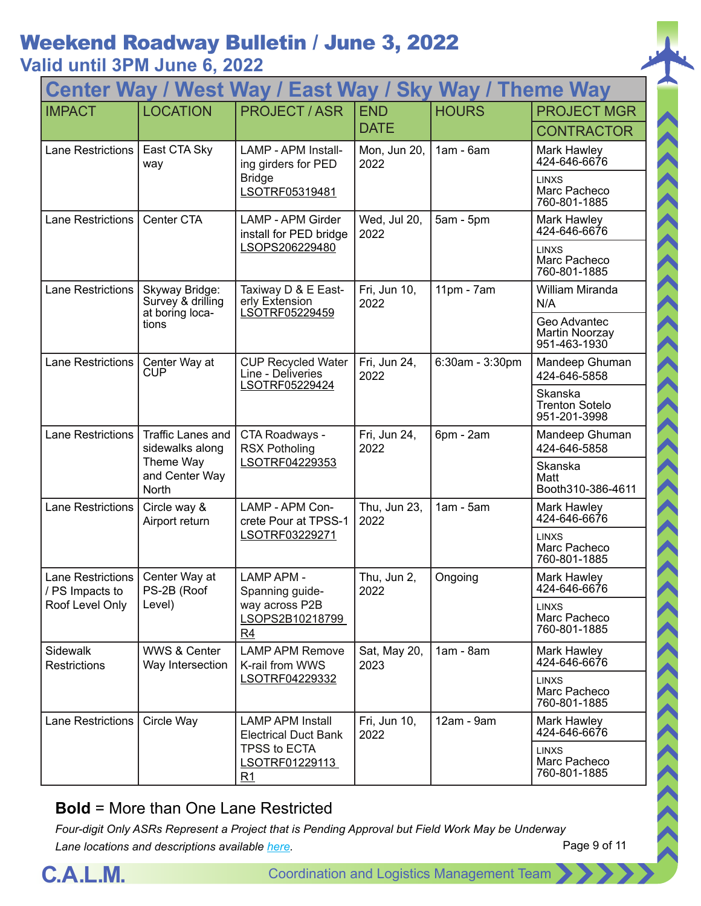| Center Way / West Way / East Way / Sky Way / Theme Way |                                             |                                                                  |                      |                 |                                                  |  |
|--------------------------------------------------------|---------------------------------------------|------------------------------------------------------------------|----------------------|-----------------|--------------------------------------------------|--|
| <b>IMPACT</b>                                          | <b>LOCATION</b>                             | <b>PROJECT / ASR</b>                                             | <b>END</b>           | <b>HOURS</b>    | <b>PROJECT MGR</b>                               |  |
|                                                        |                                             |                                                                  | <b>DATE</b>          |                 | <b>CONTRACTOR</b>                                |  |
| <b>Lane Restrictions</b>                               | East CTA Sky<br>way                         | <b>LAMP - APM Install-</b><br>ing girders for PED                | Mon, Jun 20,<br>2022 | $1am - 6am$     | Mark Hawley<br>424-646-6676                      |  |
|                                                        |                                             | <b>Bridge</b><br>LSOTRF05319481                                  |                      |                 | <b>LINXS</b><br>Marc Pacheco<br>760-801-1885     |  |
| <b>Lane Restrictions</b>                               | Center CTA                                  | <b>LAMP - APM Girder</b><br>install for PED bridge               | Wed, Jul 20,<br>2022 | $5am - 5pm$     | Mark Hawley<br>424-646-6676                      |  |
|                                                        |                                             | LSOPS206229480                                                   |                      |                 | <b>LINXS</b><br>Marc Pacheco<br>760-801-1885     |  |
| <b>Lane Restrictions</b>                               | Skyway Bridge:<br>Survey & drilling         | Taxiway D & E East-<br>erly Extension                            | Fri, Jun 10,<br>2022 | $11pm - 7am$    | William Miranda<br>N/A                           |  |
|                                                        | at boring loca-<br>tions                    | LSOTRF05229459                                                   |                      |                 | Geo Advantec<br>Martin Noorzay<br>951-463-1930   |  |
| <b>Lane Restrictions</b>                               | Center Way at<br>CUP                        | <b>CUP Recycled Water</b><br>Line - Deliveries<br>LSOTRF05229424 | Fri, Jun 24,<br>2022 | 6:30am - 3:30pm | Mandeep Ghuman<br>424-646-5858                   |  |
|                                                        |                                             |                                                                  |                      |                 | Skanska<br><b>Trenton Sotelo</b><br>951-201-3998 |  |
| <b>Lane Restrictions</b>                               | Traffic Lanes and<br>sidewalks along        | CTA Roadways -<br><b>RSX Potholing</b><br>LSOTRF04229353         | Fri, Jun 24,<br>2022 | 6pm - 2am       | Mandeep Ghuman<br>424-646-5858                   |  |
|                                                        | Theme Way<br>and Center Way<br>North        |                                                                  |                      |                 | Skanska<br>Matt<br>Booth310-386-4611             |  |
| <b>Lane Restrictions</b>                               | Circle way &<br>Airport return              | LAMP - APM Con-<br>crete Pour at TPSS-1<br>LSOTRF03229271        | Thu, Jun 23,<br>2022 | $1am - 5am$     | Mark Hawley<br>424-646-6676                      |  |
|                                                        |                                             |                                                                  |                      |                 | <b>LINXS</b><br>Marc Pacheco<br>760-801-1885     |  |
| Lane Restrictions<br>/ PS Impacts to                   | Center Way at<br>PS-2B (Roof                | <b>LAMP APM -</b><br>Spanning guide-                             | Thu, Jun 2,<br>2022  | Ongoing         | Mark Hawley<br>424-646-6676                      |  |
| Roof Level Only                                        | Level)                                      | way across P2B<br>LSOPS2B10218799<br>R4                          |                      |                 | <b>LINXS</b><br>Marc Pacheco<br>760-801-1885     |  |
| Sidewalk<br><b>Restrictions</b>                        | <b>WWS &amp; Center</b><br>Way Intersection | <b>LAMP APM Remove</b><br>K-rail from WWS                        | Sat, May 20,<br>2023 | $1am - 8am$     | Mark Hawley<br>424-646-6676                      |  |
|                                                        |                                             | LSOTRF04229332                                                   |                      |                 | <b>LINXS</b><br>Marc Pacheco<br>760-801-1885     |  |
| <b>Lane Restrictions</b>                               | Circle Way                                  | <b>LAMP APM Install</b><br><b>Electrical Duct Bank</b>           | Fri, Jun 10,<br>2022 | 12am - 9am      | Mark Hawley<br>424-646-6676                      |  |
|                                                        |                                             | TPSS to ECTA<br>LSOTRF01229113<br>R1                             |                      |                 | <b>LINXS</b><br>Marc Pacheco<br>760-801-1885     |  |

#### **Bold** = More than One Lane Restricted



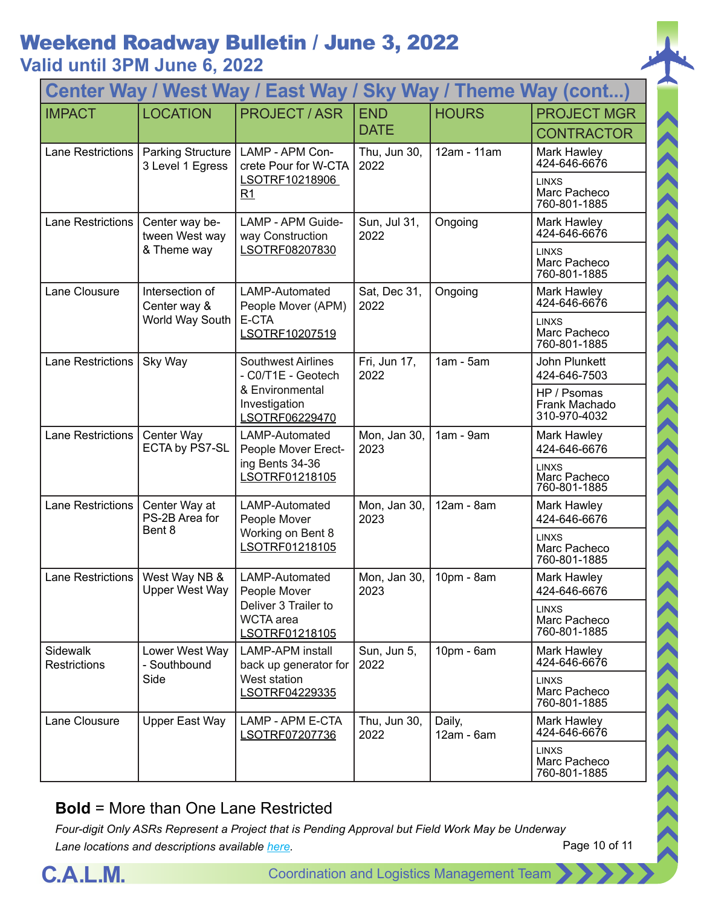**Valid until 3PM June 6, 2022**

| Center Way / West Way / East Way / Sky Way / Theme Way (cont) |                                              |                                                                                                       |                           |                        |                                              |  |
|---------------------------------------------------------------|----------------------------------------------|-------------------------------------------------------------------------------------------------------|---------------------------|------------------------|----------------------------------------------|--|
| <b>IMPACT</b>                                                 | <b>LOCATION</b>                              | <b>PROJECT / ASR</b>                                                                                  | <b>END</b><br><b>DATE</b> | <b>HOURS</b>           | <b>PROJECT MGR</b><br><b>CONTRACTOR</b>      |  |
| <b>Lane Restrictions</b>                                      | <b>Parking Structure</b><br>3 Level 1 Egress | LAMP - APM Con-<br>crete Pour for W-CTA                                                               | Thu, Jun 30,<br>2022      | 12am - 11am            | Mark Hawley<br>424-646-6676                  |  |
|                                                               |                                              | LSOTRF10218906<br>R1                                                                                  |                           |                        | <b>LINXS</b><br>Marc Pacheco<br>760-801-1885 |  |
| <b>Lane Restrictions</b>                                      | Center way be-<br>tween West way             | LAMP - APM Guide-<br>way Construction                                                                 | Sun, Jul 31,<br>2022      | Ongoing                | Mark Hawley<br>424-646-6676                  |  |
|                                                               | & Theme way                                  | LSOTRF08207830                                                                                        |                           |                        | <b>LINXS</b><br>Marc Pacheco<br>760-801-1885 |  |
| Lane Clousure                                                 | Intersection of<br>Center way &              | LAMP-Automated<br>People Mover (APM)                                                                  | Sat, Dec 31,<br>2022      | Ongoing                | Mark Hawley<br>424-646-6676                  |  |
|                                                               | World Way South                              | E-CTA<br>LSOTRF10207519                                                                               |                           |                        | <b>LINXS</b><br>Marc Pacheco<br>760-801-1885 |  |
| Lane Restrictions                                             | Sky Way                                      | <b>Southwest Airlines</b><br>- C0/T1E - Geotech<br>& Environmental<br>Investigation<br>LSOTRF06229470 | Fri, Jun 17,<br>2022      | $1am - 5am$            | John Plunkett<br>424-646-7503                |  |
|                                                               |                                              |                                                                                                       |                           |                        | HP / Psomas<br>Frank Machado<br>310-970-4032 |  |
| <b>Lane Restrictions</b>                                      | Center Way<br>ECTA by PS7-SL                 | LAMP-Automated<br>People Mover Erect-<br>ing Bents 34-36<br>LSOTRF01218105                            | Mon, Jan 30,<br>2023      | $1am - 9am$            | Mark Hawley<br>424-646-6676                  |  |
|                                                               |                                              |                                                                                                       |                           |                        | <b>LINXS</b><br>Marc Pacheco<br>760-801-1885 |  |
| <b>Lane Restrictions</b>                                      | Center Way at<br>PS-2B Area for<br>Bent 8    | LAMP-Automated<br>People Mover<br>Working on Bent 8<br>LSOTRF01218105                                 | Mon, Jan 30,<br>2023      | 12am - 8am             | Mark Hawley<br>424-646-6676                  |  |
|                                                               |                                              |                                                                                                       |                           |                        | <b>LINXS</b><br>Marc Pacheco<br>760-801-1885 |  |
| <b>Lane Restrictions</b>                                      | West Way NB &<br><b>Upper West Way</b>       | LAMP-Automated<br>People Mover                                                                        | Mon, Jan 30,<br>2023      | 10pm - 8am             | <b>Mark Hawley</b><br>424-646-6676           |  |
|                                                               |                                              | Deliver 3 Trailer to<br><b>WCTA</b> area<br>LSOTRF01218105                                            |                           |                        | LINXS<br>Marc Pacheco<br>760-801-1885        |  |
| Sidewalk<br><b>Restrictions</b>                               | Lower West Way<br>- Southbound               | <b>LAMP-APM</b> install<br>back up generator for                                                      | Sun, Jun 5,<br>2022       | 10pm - 6am             | Mark Hawley<br>424-646-6676                  |  |
|                                                               | Side                                         | West station<br>LSOTRF04229335                                                                        |                           |                        | <b>LINXS</b><br>Marc Pacheco<br>760-801-1885 |  |
| Lane Clousure                                                 | Upper East Way                               | LAMP - APM E-CTA<br>LSOTRF07207736                                                                    | Thu, Jun 30,<br>2022      | Daily,<br>$12am - 6am$ | Mark Hawley<br>424-646-6676                  |  |
|                                                               |                                              |                                                                                                       |                           |                        | <b>LINXS</b><br>Marc Pacheco<br>760-801-1885 |  |

#### **Bold** = More than One Lane Restricted